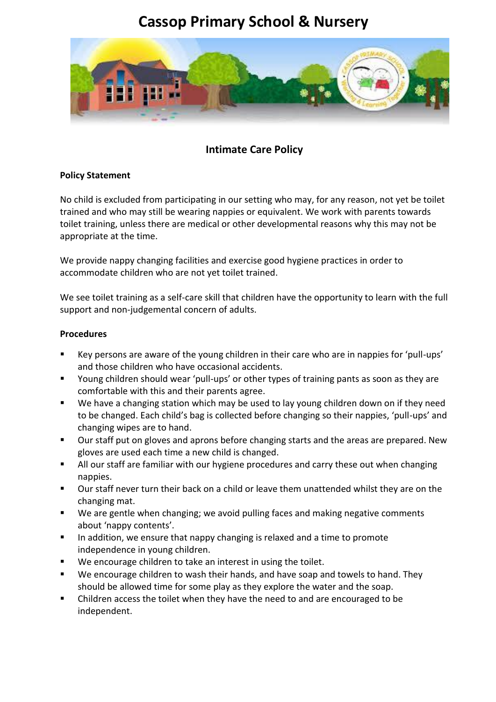## **Cassop Primary School & Nursery**



## **Intimate Care Policy**

## **Policy Statement**

No child is excluded from participating in our setting who may, for any reason, not yet be toilet trained and who may still be wearing nappies or equivalent. We work with parents towards toilet training, unless there are medical or other developmental reasons why this may not be appropriate at the time.

We provide nappy changing facilities and exercise good hygiene practices in order to accommodate children who are not yet toilet trained.

We see toilet training as a self-care skill that children have the opportunity to learn with the full support and non-judgemental concern of adults.

## **Procedures**

- Key persons are aware of the young children in their care who are in nappies for 'pull-ups' and those children who have occasional accidents.
- Young children should wear 'pull-ups' or other types of training pants as soon as they are comfortable with this and their parents agree.
- We have a changing station which may be used to lay young children down on if they need to be changed. Each child's bag is collected before changing so their nappies, 'pull-ups' and changing wipes are to hand.
- Our staff put on gloves and aprons before changing starts and the areas are prepared. New gloves are used each time a new child is changed.
- All our staff are familiar with our hygiene procedures and carry these out when changing nappies.
- Our staff never turn their back on a child or leave them unattended whilst they are on the changing mat.
- We are gentle when changing; we avoid pulling faces and making negative comments about 'nappy contents'.
- In addition, we ensure that nappy changing is relaxed and a time to promote independence in young children.
- We encourage children to take an interest in using the toilet.
- We encourage children to wash their hands, and have soap and towels to hand. They should be allowed time for some play as they explore the water and the soap.
- Children access the toilet when they have the need to and are encouraged to be independent.